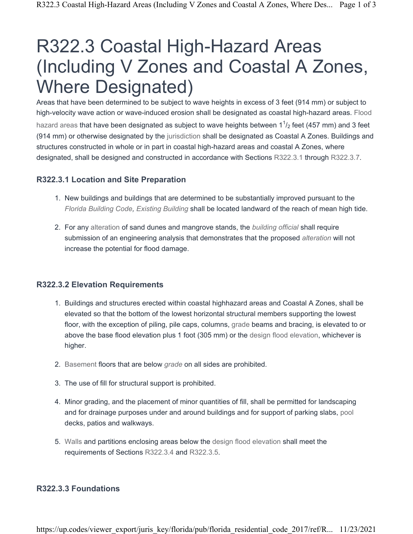# R322.3 Coastal High-Hazard Areas (Including V Zones and Coastal A Zones, Where Designated)

Areas that have been determined to be subject to wave heights in excess of 3 feet (914 mm) or subject to high-velocity wave action or wave-induced erosion shall be designated as coastal high-hazard areas. Flood hazard areas that have been designated as subject to wave heights between 1 $^1\prime_2$  feet (457 mm) and 3 feet (914 mm) or otherwise designated by the jurisdiction shall be designated as Coastal A Zones. Buildings and structures constructed in whole or in part in coastal high-hazard areas and coastal A Zones, where designated, shall be designed and constructed in accordance with Sections R322.3.1 through R322.3.7.

## **R322.3.1 Location and Site Preparation**

- 1. New buildings and buildings that are determined to be substantially improved pursuant to the *Florida Building Code, Existing Building* shall be located landward of the reach of mean high tide.
- 2. For any alteration of sand dunes and mangrove stands, the *building official* shall require submission of an engineering analysis that demonstrates that the proposed *alteration* will not increase the potential for flood damage.

## **R322.3.2 Elevation Requirements**

- 1. Buildings and structures erected within coastal highhazard areas and Coastal A Zones, shall be elevated so that the bottom of the lowest horizontal structural members supporting the lowest floor, with the exception of piling, pile caps, columns, grade beams and bracing, is elevated to or above the base flood elevation plus 1 foot (305 mm) or the design flood elevation, whichever is higher.
- 2. Basement floors that are below *grade* on all sides are prohibited.
- 3. The use of fill for structural support is prohibited.
- 4. Minor grading, and the placement of minor quantities of fill, shall be permitted for landscaping and for drainage purposes under and around buildings and for support of parking slabs, pool decks, patios and walkways.
- 5. Walls and partitions enclosing areas below the design flood elevation shall meet the requirements of Sections R322.3.4 and R322.3.5.

## **R322.3.3 Foundations**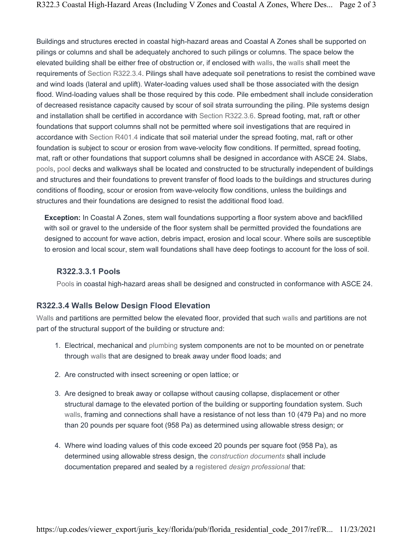Buildings and structures erected in coastal high-hazard areas and Coastal A Zones shall be supported on pilings or columns and shall be adequately anchored to such pilings or columns. The space below the elevated building shall be either free of obstruction or, if enclosed with walls, the walls shall meet the requirements of Section R322.3.4. Pilings shall have adequate soil penetrations to resist the combined wave and wind loads (lateral and uplift). Water-loading values used shall be those associated with the design flood. Wind-loading values shall be those required by this code. Pile embedment shall include consideration of decreased resistance capacity caused by scour of soil strata surrounding the piling. Pile systems design and installation shall be certified in accordance with Section R322.3.6. Spread footing, mat, raft or other foundations that support columns shall not be permitted where soil investigations that are required in accordance with Section R401.4 indicate that soil material under the spread footing, mat, raft or other foundation is subject to scour or erosion from wave-velocity flow conditions. If permitted, spread footing, mat, raft or other foundations that support columns shall be designed in accordance with ASCE 24. Slabs, pools, pool decks and walkways shall be located and constructed to be structurally independent of buildings and structures and their foundations to prevent transfer of flood loads to the buildings and structures during conditions of flooding, scour or erosion from wave-velocity flow conditions, unless the buildings and structures and their foundations are designed to resist the additional flood load.

**Exception:** In Coastal A Zones, stem wall foundations supporting a floor system above and backfilled with soil or gravel to the underside of the floor system shall be permitted provided the foundations are designed to account for wave action, debris impact, erosion and local scour. Where soils are susceptible to erosion and local scour, stem wall foundations shall have deep footings to account for the loss of soil.

#### **R322.3.3.1 Pools**

Pools in coastal high-hazard areas shall be designed and constructed in conformance with ASCE 24.

## **R322.3.4 Walls Below Design Flood Elevation**

Walls and partitions are permitted below the elevated floor, provided that such walls and partitions are not part of the structural support of the building or structure and:

- 1. Electrical, mechanical and plumbing system components are not to be mounted on or penetrate through walls that are designed to break away under flood loads; and
- 2. Are constructed with insect screening or open lattice; or
- 3. Are designed to break away or collapse without causing collapse, displacement or other structural damage to the elevated portion of the building or supporting foundation system. Such walls, framing and connections shall have a resistance of not less than 10 (479 Pa) and no more than 20 pounds per square foot (958 Pa) as determined using allowable stress design; or
- 4. Where wind loading values of this code exceed 20 pounds per square foot (958 Pa), as determined using allowable stress design, the *construction documents* shall include documentation prepared and sealed by a registered *design professional* that: